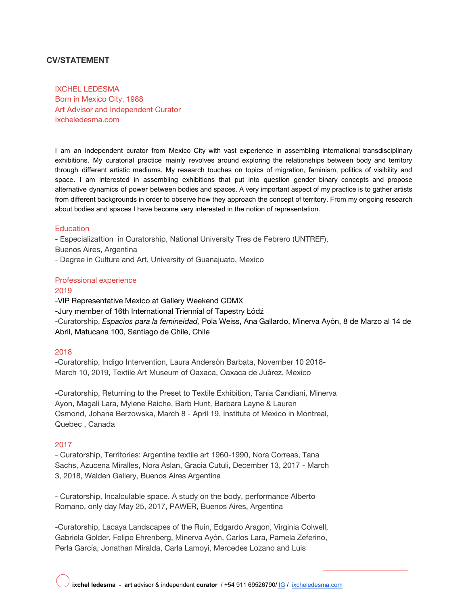# **CV/STATEMENT**

IXCHEL LEDESMA Born in Mexico City, 1988 Art Advisor and Independent Curator Ixcheledesma.com

I am an independent curator from Mexico City with vast experience in assembling international transdisciplinary exhibitions. My curatorial practice mainly revolves around exploring the relationships between body and territory through different artistic mediums. My research touches on topics of migration, feminism, politics of visibility and space. I am interested in assembling exhibitions that put into question gender binary concepts and propose alternative dynamics of power between bodies and spaces. A very important aspect of my practice is to gather artists from different backgrounds in order to observe how they approach the concept of territory. From my ongoing research about bodies and spaces I have become very interested in the notion of representation.

#### **Education**

- Especializattion in Curatorship, National University Tres de Febrero (UNTREF),

Buenos Aires, Argentina

- Degree in Culture and Art, University of Guanajuato, Mexico

## Professional experience

### 2019

-VIP Representative Mexico at Gallery Weekend CDMX -Jury member of 16th International Triennial of Tapestry Łódź -Curatorship, *Espacios para la femineidad,* Pola Weiss, Ana Gallardo, Minerva Ayón, 8 de Marzo al 14 de Abril, Matucana 100, Santiago de Chile, Chile

## 2018

-Curatorship, Indigo Intervention, Laura Andersón Barbata, November 10 2018- March 10, 2019, Textile Art Museum of Oaxaca, Oaxaca de Juárez, Mexico

-Curatorship, Returning to the Preset to Textile Exhibition, Tania Candiani, Minerva Ayon, Magali Lara, Mylene Raiche, Barb Hunt, Barbara Layne & Lauren Osmond, Johana Berzowska, March 8 - April 19, Institute of Mexico in Montreal, Quebec , Canada

## 2017

- Curatorship, Territories: Argentine textile art 1960-1990, Nora Correas, Tana Sachs, Azucena Miralles, Nora Aslan, Gracia Cutuli, December 13, 2017 - March 3, 2018, Walden Gallery, Buenos Aires Argentina

- Curatorship, Incalculable space. A study on the body, performance Alberto Romano, only day May 25, 2017, PAWER, Buenos Aires, Argentina

-Curatorship, Lacaya Landscapes of the Ruin, Edgardo Aragon, Virginia Colwell, Gabriela Golder, Felipe Ehrenberg, Minerva Ayón, Carlos Lara, Pamela Zeferino, Perla García, Jonathan Miralda, Carla Lamoyi, Mercedes Lozano and Luis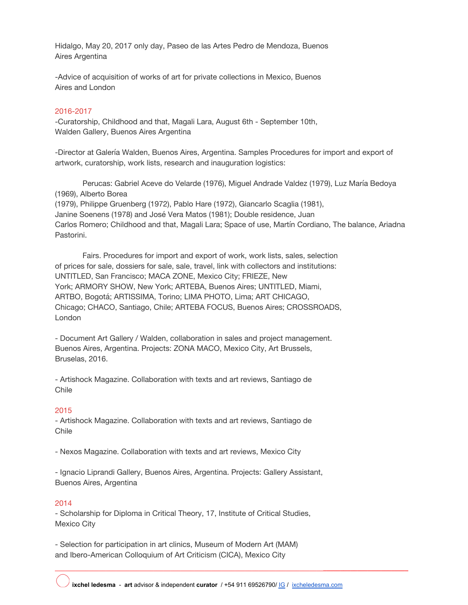Hidalgo, May 20, 2017 only day, Paseo de las Artes Pedro de Mendoza, Buenos Aires Argentina

-Advice of acquisition of works of art for private collections in Mexico, Buenos Aires and London

## 2016-2017

-Curatorship, Childhood and that, Magali Lara, August 6th - September 10th, Walden Gallery, Buenos Aires Argentina

-Director at Galería Walden, Buenos Aires, Argentina. Samples Procedures for import and export of artwork, curatorship, work lists, research and inauguration logistics:

Perucas: Gabriel Aceve do Velarde (1976), Miguel Andrade Valdez (1979), Luz María Bedoya (1969), Alberto Borea (1979), Philippe Gruenberg (1972), Pablo Hare (1972), Giancarlo Scaglia (1981), Janine Soenens (1978) and José Vera Matos (1981); Double residence, Juan Carlos Romero; Childhood and that, Magali Lara; Space of use, Martín Cordiano, The balance, Ariadna Pastorini.

Fairs. Procedures for import and export of work, work lists, sales, selection of prices for sale, dossiers for sale, sale, travel, link with collectors and institutions: UNTITLED, San Francisco; MACA ZONE, Mexico City; FRIEZE, New York; ARMORY SHOW, New York; ARTEBA, Buenos Aires; UNTITLED, Miami, ARTBO, Bogotá; ARTISSIMA, Torino; LIMA PHOTO, Lima; ART CHICAGO, Chicago; CHACO, Santiago, Chile; ARTEBA FOCUS, Buenos Aires; CROSSROADS, London

- Document Art Gallery / Walden, collaboration in sales and project management. Buenos Aires, Argentina. Projects: ZONA MACO, Mexico City, Art Brussels, Bruselas, 2016.

- Artishock Magazine. Collaboration with texts and art reviews, Santiago de Chile

#### 2015

- Artishock Magazine. Collaboration with texts and art reviews, Santiago de Chile

- Nexos Magazine. Collaboration with texts and art reviews, Mexico City

- Ignacio Liprandi Gallery, Buenos Aires, Argentina. Projects: Gallery Assistant, Buenos Aires, Argentina

### 2014

- Scholarship for Diploma in Critical Theory, 17, Institute of Critical Studies, Mexico City

- Selection for participation in art clinics, Museum of Modern Art (MAM) and Ibero-American Colloquium of Art Criticism (CICA), Mexico City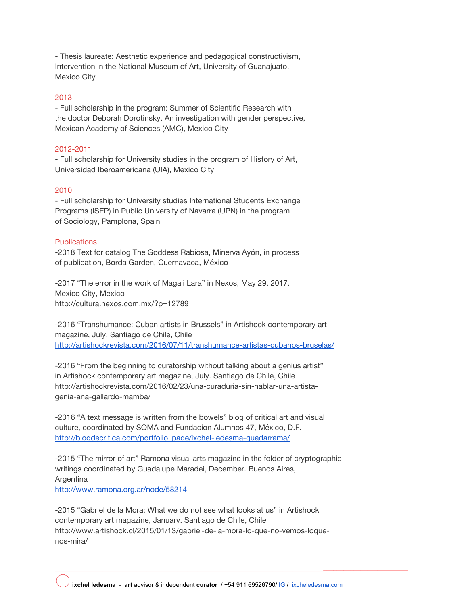- Thesis laureate: Aesthetic experience and pedagogical constructivism, Intervention in the National Museum of Art, University of Guanajuato, Mexico City

## 2013

- Full scholarship in the program: Summer of Scientific Research with the doctor Deborah Dorotinsky. An investigation with gender perspective, Mexican Academy of Sciences (AMC), Mexico City

## 2012-2011

- Full scholarship for University studies in the program of History of Art, Universidad Iberoamericana (UIA), Mexico City

### 2010

- Full scholarship for University studies International Students Exchange Programs (ISEP) in Public University of Navarra (UPN) in the program of Sociology, Pamplona, Spain

#### **Publications**

-2018 Text for catalog The Goddess Rabiosa, Minerva Ayón, in process of publication, Borda Garden, Cuernavaca, México

-2017 "The error in the work of Magali Lara" in Nexos, May 29, 2017. Mexico City, Mexico http://cultura.nexos.com.mx/?p=12789

-2016 "Transhumance: Cuban artists in Brussels" in Artishock contemporary art magazine, July. Santiago de Chile, Chile <http://artishockrevista.com/2016/07/11/transhumance-artistas-cubanos-bruselas/>

-2016 "From the beginning to curatorship without talking about a genius artist" in Artishock contemporary art magazine, July. Santiago de Chile, Chile http://artishockrevista.com/2016/02/23/una-curaduria-sin-hablar-una-artistagenia-ana-gallardo-mamba/

-2016 "A text message is written from the bowels" blog of critical art and visual culture, coordinated by SOMA and Fundacion Alumnos 47, México, D.F. [http://blogdecritica.com/portfolio\\_page/ixchel-ledesma-guadarrama/](http://blogdecritica.com/portfolio_page/ixchel-ledesma-guadarrama/)

-2015 "The mirror of art" Ramona visual arts magazine in the folder of cryptographic writings coordinated by Guadalupe Maradei, December. Buenos Aires, Argentina <http://www.ramona.org.ar/node/58214>

-2015 "Gabriel de la Mora: What we do not see what looks at us" in Artishock contemporary art magazine, January. Santiago de Chile, Chile http://www.artishock.cl/2015/01/13/gabriel-de-la-mora-lo-que-no-vemos-loquenos-mira/